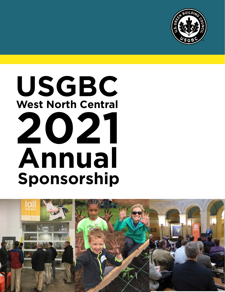



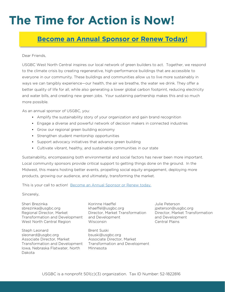# **The Time for Action is Now!**

### **[Become an Annual Sponsor or Renew Today!](https://usgbc.wufoo.com/forms/m1ybsmtf1ivr7pr/)**

Dear Friends,

USGBC West North Central inspires our local network of green builders to act. Together, we respond to the climate crisis by creating regenerative, high-performance buildings that are accessible to everyone in our community. These buildings and communities allow us to live more sustainably in ways we can tangibly experience—our health, the air we breathe, the water we drink. They offer a better quality of life for all, while also generating a lower global carbon footprint, reducing electricity and water bills, and creating new green jobs. Your sustaining partnership makes this and so much more possible.

As an annual sponsor of USGBC, you:

- Amplify the sustainability story of your organization and gain brand recognition
- Engage a diverse and powerful network of decision makers in connected industries
- Grow our regional green building economy
- Strengthen student mentorship opportunities
- Support advocacy initiatives that advance green building
- Cultivate vibrant, healthy, and sustainable communities in our state

Sustainability, encompassing both environmental and social factors has never been more important. Local community sponsors provide critical support to getting things done on the ground. In the Midwest, this means hosting better events, propelling social equity engagement, deploying more products, growing our audience, and ultimately, transforming the market.

This is your call to action! [Become an Annual Sponsor or Renew today.](https://usgbc.wufoo.com/forms/m1ybsmtf1ivr7pr/)

Sincerely,

Sheri Brezinka sbrezinka@usgbc.org Regional Director, Market Transformation and Development West North Central Region

Steph Leonard sleonard@usgbc.org Associate Director, Market Transformation and Development Transformation and Development Iowa, Nebraska Flatwater, North Dakota

Korinne Haeffel khaeffel@usgbc.org Director, Market Transformation and Development Wisconsin

Brent Suski bsuski@usgbc.org Associate Director, Market Minnesota

Julie Peterson jpeterson@usgbc.org Director, Market Transformation and Development Central Plains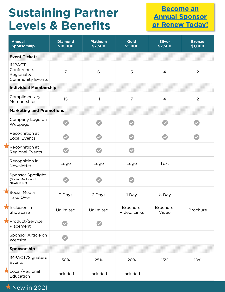## **Sustaining Partner Levels & Benefits**

**Become an [Annual Sponsor](https://usgbc.wufoo.com/forms/q7in5ze0hdk4t0/)  [or Renew Today!](https://usgbc.wufoo.com/forms/m1ybsmtf1ivr7pr/)** 

|  | <b>Annual</b><br>Sponsorship                                          | <b>Diamond</b><br>\$10,000 | <b>Platinum</b><br>\$7,500 | <b>Gold</b><br>\$5,000    | <b>Silver</b><br>\$2,500 | <b>Bronze</b><br>\$1,000 |
|--|-----------------------------------------------------------------------|----------------------------|----------------------------|---------------------------|--------------------------|--------------------------|
|  | <b>Event Tickets</b>                                                  |                            |                            |                           |                          |                          |
|  | <b>IMPACT</b><br>Conference,<br>Regional &<br><b>Community Events</b> | 7                          | 6                          | 5                         | $\overline{4}$           | $\overline{2}$           |
|  | <b>Individual Membership</b>                                          |                            |                            |                           |                          |                          |
|  | Complimentary<br>Memberships                                          | 15                         | 11                         | $\overline{7}$            | $\overline{4}$           | $\overline{2}$           |
|  | <b>Marketing and Promotions</b>                                       |                            |                            |                           |                          |                          |
|  | Company Logo on<br>Webpage                                            |                            |                            |                           |                          |                          |
|  | Recognition at<br><b>Local Events</b>                                 |                            |                            |                           |                          |                          |
|  | Recognition at<br><b>Regional Events</b>                              |                            |                            |                           |                          |                          |
|  | Recognition in<br>Newsletter                                          | Logo                       | Logo                       | Logo                      | Text                     |                          |
|  | Sponsor Spotlight<br>(Social Media and<br>Newsletter)                 |                            |                            |                           |                          |                          |
|  | Social Media<br>Take Over                                             | 3 Days                     | 2 Days                     | 1 Day                     | $\frac{1}{2}$ Day        |                          |
|  | Inclusion in<br>Showcase                                              | Unlimited                  | Unlimited                  | Brochure,<br>Video, Links | Brochure,<br>Video       | <b>Brochure</b>          |
|  | Product/Service<br>Placement                                          |                            |                            |                           |                          |                          |
|  | Sponsor Article on<br>Website                                         |                            |                            |                           |                          |                          |
|  | Sponsorship                                                           |                            |                            |                           |                          |                          |
|  | IMPACT/Signature<br>Events                                            | 30%                        | 25%                        | 20%                       | 15%                      | 10%                      |
|  | Local/Regional<br>Education                                           | Included                   | Included                   | Included                  |                          |                          |

 $\star$  New in 2021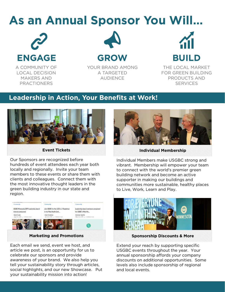## **As an Annual Sponsor You Will…**



A COMMUNITY OF LOCAL DECISION MAKERS AND PRACTIONERS



YOUR BRAND AMONG A TARGETED AUDIENCE



THE LOCAL MARKET FOR GREEN BUILDING PRODUCTS AND **SERVICES** 

### **Leadership in Action, Your Benefits at Work!**



**Event Tickets**

Our Sponsors are recognized before hundreds of event attendees each year both locally and regionally. Invite your team members to these events or share them with clients and colleagues. Connect them with the most innovative thought leaders in the green building industry in our state and region.



#### **Marketing and Promotions**

Each email we send, event we host, and article we post, is an opportunity for us to celebrate our sponsors and provide awareness of your brand. We also help you tell your sustainability story through articles, social highlights, and our new Showcase. Put your sustainability mission into action!



**Individual Membership**

Individual Members make USGBC strong and vibrant. Membership will empower your team to connect with the world's premier green building network and become an active supporter in making our buildings and communities more sustainable, healthy places to Live, Work, Learn and Play.



#### **Sponsorship Discounts & More**

Extend your reach by supporting specific USGBC events throughout the year. Your annual sponsorship affords your company discounts on additional opportunities. Some levels also include sponsorship of regional and local events.